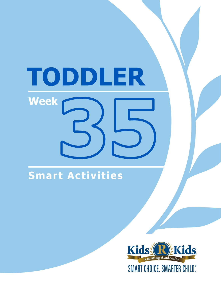# TODDLER **Week**

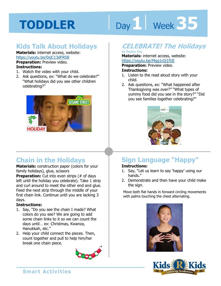# Day 1 **Week 35**

#### **Kids Talk About Holidays**

#### **Materials:** internet access, website: https://youtu.be/0sjC13dFRS8

**Preparation:** Preview video. **Instructions:** 

- 1. Watch the video with your child.
- 2. Ask questions, ex: "What do we celebrate?" "What holidays did you see other children celebrating?"



#### **Chain in the Holidays**

**Materials:** construction paper (colors for your family holidays), glue, scissors

**Preparation:** Cut into even strips (# of days left until the holiday you celebrate). Take 1 strip and curl around to meet the other end and glue. Feed the next strip through the middle of your first chain link. Continue until you are lacking 3 days.

#### **Instructions:**

- 1. Say, "Do you see the chain I made? What colors do you see? We are going to add some chain links to it so we can count the days until… ex: Christmas, Kwanza, Hanukkah, etc."
- 2. Help your child connect the pieces. Then, count together and pull to help him/her break one chain piece.



#### **CELEBRATE! The Holidays**

#### **by Sophia Day Materials:** internet access, website:

**1 4**  https://youtu.be/Mgg1rGl1fVE **Preparation:** Preview video.

#### **Instructions:**

- 1. Listen to the read aloud story with your child.
- 2. Ask questions, ex: "What happened after Thanksgiving was over?" "What types of yummy food did you see in the story?" "Did you see families together celebrating?"



### **Sign Language "Happy"**

#### **Instructions:**

- 1. Say, "Let us learn to say 'happy' using our hands."
- 2. Demonstrate and then have your child make the sign.

Move both flat hands in forward circling movements with palms touching the chest alternating.



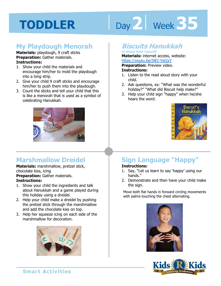# Day 2 **Week 35**

#### **My Playdough Menorah**

#### **Materials:** playdough, 9 craft sticks **Preparation:** Gather materials. **Instructions:**

- 1. Show your child the materials and encourage him/her to mold the playdough into a long strip.
- 2. Give your child 9 craft sticks and encourage him/her to push them into the playdough.
- 3. Count the sticks and tell your child that this is like a menorah that is used as a symbol of celebrating Hanukkah.



#### **Marshmallow Dreidel**

#### **Materials:** marshmallow, pretzel stick, chocolate kiss, icing

**Preparation:** Gather materials.

#### **Instructions:**

- 1. Show your child the ingredients and talk about Hanukkah and a game played during this holiday using a dreidel.
- 2. Help your child make a dreidel by pushing the pretzel stick through the marshmallow and add the chocolate kiss on top.
- 3. Help her squeeze icing on each side of the marshmallow for decoration.



#### **Biscuits Hanukkah**

#### **by Alyssa Satin Capucilli Materials:** internet access, website: https://youtu.be/5lEI-Yel2xY

<u>Voutu.be/5|EI-Yel2xY</u><br> **ation:** Preview video.<br> **ctions:**<br>
an to the read aloud stars with w **Preparation:** Preview video. **Instructions:** 

- 1. Listen to the read aloud story with your child.
- 2. Ask questions, ex: "What was the wonderful holiday?" "What did Biscuit help make?"
- 3. Help your child sign "happy" when he/she hears the word.



### **Sign Language "Happy"**

#### **Instructions:**

- 1. Say, "Let us learn to say 'happy' using our hands."
- 2. Demonstrate and then have your child make the sign.

Move both flat hands in forward circling movements with palms touching the chest alternating.



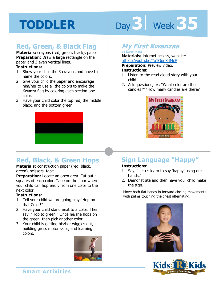# Day 3 | Week 35

#### **Red, Green, & Black Flag**

**Materials:** crayons (red, green, black), paper **Preparation:** Draw a large rectangle on the paper and 3 even vertical lines.

#### **Instructions:**

- 1. Show your child the 3 crayons and have him name the colors.
- 2. Give your child the paper and encourage him/her to use all the colors to make the Kwanza flag by coloring each section one color.
- 3. Have your child color the top red, the middle black, and the bottom green.



#### **Red, Black, & Green Hops**

**Materials:** construction paper (red, black, green), scissors, tape

**Preparation:** Locate an open area. Cut out 4 squares of each color. Tape on the floor where your child can hop easily from one color to the next color.

#### **Instructions:**

- 1. Tell your child we are going play "Hop on that Color!"
- 2. Have your child stand next to a color. Then say, "Hop to green." Once he/she hops on the green, then pick another color.
- 3. Your child is getting his/her wiggles out, building gross motor skills, and learning colors.



#### **My First Kwanzaa**

#### **by Karen Katz Materials:** internet access, website: https://youtu.be/Tx1OqdX4McE

**Preparation:** Preview video.

#### **Instructions:**

- 1. Listen to the read aloud story with your child.
- 2. Ask questions, ex: "What color are the candles?" "How many candles are there?"



### **Sign Language "Happy"**

#### **Instructions:**

- 1. Say, "Let us learn to say 'happy' using our hands."
- 2. Demonstrate and then have your child make the sign.

Move both flat hands in forward circling movements with palms touching the chest alternating.



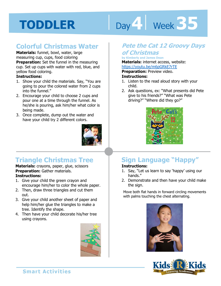# Day 4 Week 35

#### **Colorful Christmas Water**

**Materials:** funnel, bowl, water, large measuring cup, cups, food coloring

**Preparation:** Set the funnel in the measuring cup. Set up cups with water with red, blue, and yellow food coloring.

#### **Instructions:**

- 1. Show your child the materials. Say, "You are going to pour the colored water from 2 cups into the funnel."
- 2. Encourage your child to choose 2 cups and pour one at a time through the funnel. As he/she is pouring, ask him/her what color is being made.
- 3. Once complete, dump out the water and have your child try 2 different colors.



#### **Triangle Christmas Tree**

#### **Materials:** crayons, paper, glue, scissors **Preparation:** Gather materials. **Instructions:**

- 1. Give your child the green crayon and encourage him/her to color the whole paper.
- 2. Then, draw three triangles and cut them out.
- 3. Give your child another sheet of paper and help him/her glue the triangles to make a tree. Identify the shape.
- 4. Then have your child decorate his/her tree using crayons.



#### **Pete the Cat 12 Groovy Days of Christmas**

#### **by Kimberly and James Dean**

**Materials:** internet access, website:<br>**Materials:** internet access, website:<br>https://youtu.be/m6pGRkE7rTE<br>**Preparation:** Preview video.

https://youtu.be/m6pGRkE7rTE

**Preparation:** Preview video.

#### **Instructions:**

- 1. Listen to the read aloud story with your child.
- 2. Ask questions, ex: "What presents did Pete give to his friends?" "What was Pete driving?" "Where did they go?"



### **Sign Language "Happy"**

#### **Instructions:**

- 1. Say, "Let us learn to say 'happy' using our hands."
- 2. Demonstrate and then have your child make the sign.

Move both flat hands in forward circling movements with palms touching the chest alternating.